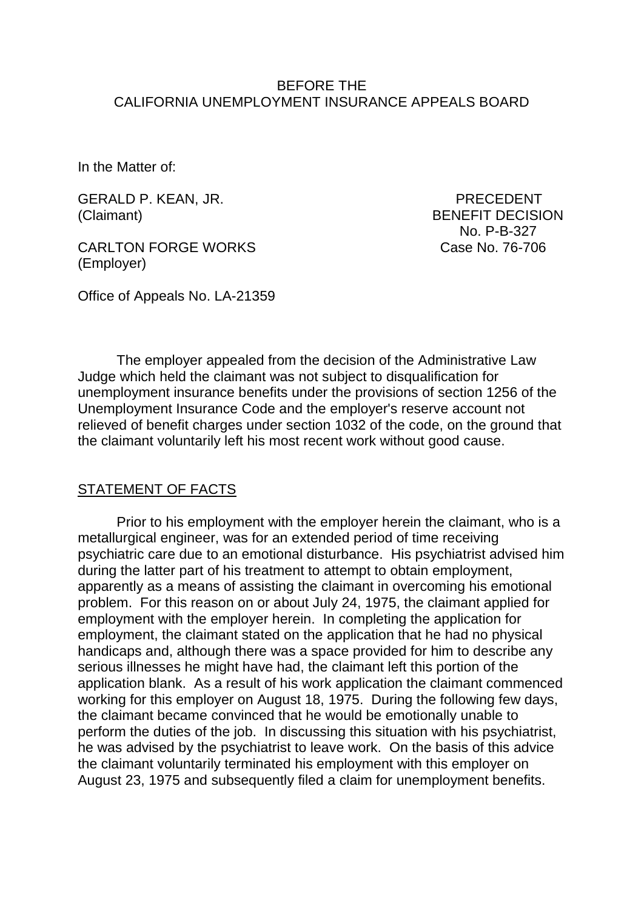### BEFORE THE CALIFORNIA UNEMPLOYMENT INSURANCE APPEALS BOARD

In the Matter of:

GERALD P. KEAN, JR. PRECEDENT (Claimant) BENEFIT DECISION

CARLTON FORGE WORKS Case No. 76-706 (Employer)

No. P-B-327

Office of Appeals No. LA-21359

The employer appealed from the decision of the Administrative Law Judge which held the claimant was not subject to disqualification for unemployment insurance benefits under the provisions of section 1256 of the Unemployment Insurance Code and the employer's reserve account not relieved of benefit charges under section 1032 of the code, on the ground that the claimant voluntarily left his most recent work without good cause.

#### STATEMENT OF FACTS

Prior to his employment with the employer herein the claimant, who is a metallurgical engineer, was for an extended period of time receiving psychiatric care due to an emotional disturbance. His psychiatrist advised him during the latter part of his treatment to attempt to obtain employment, apparently as a means of assisting the claimant in overcoming his emotional problem. For this reason on or about July 24, 1975, the claimant applied for employment with the employer herein. In completing the application for employment, the claimant stated on the application that he had no physical handicaps and, although there was a space provided for him to describe any serious illnesses he might have had, the claimant left this portion of the application blank. As a result of his work application the claimant commenced working for this employer on August 18, 1975. During the following few days, the claimant became convinced that he would be emotionally unable to perform the duties of the job. In discussing this situation with his psychiatrist, he was advised by the psychiatrist to leave work. On the basis of this advice the claimant voluntarily terminated his employment with this employer on August 23, 1975 and subsequently filed a claim for unemployment benefits.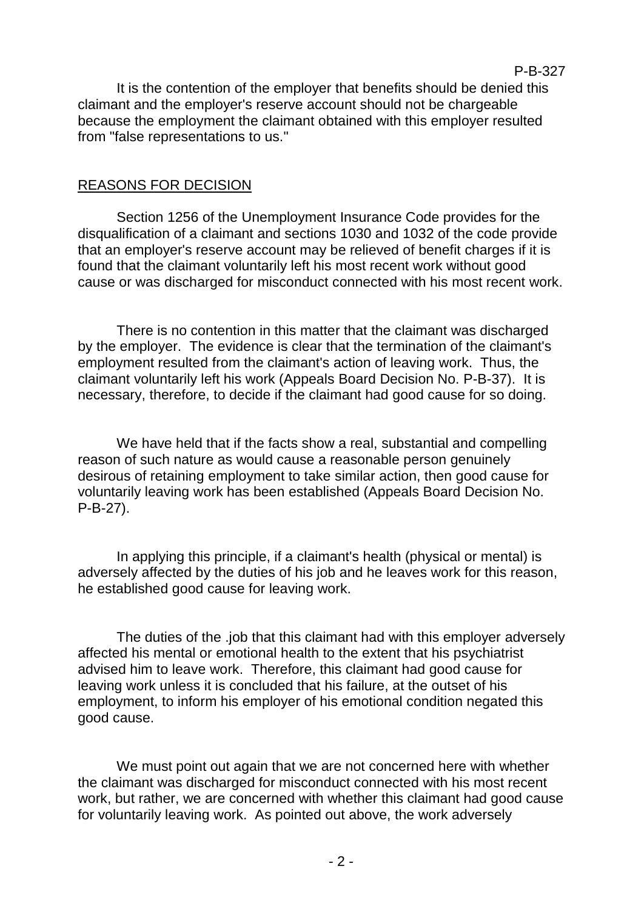It is the contention of the employer that benefits should be denied this claimant and the employer's reserve account should not be chargeable because the employment the claimant obtained with this employer resulted from "false representations to us."

#### REASONS FOR DECISION

Section 1256 of the Unemployment Insurance Code provides for the disqualification of a claimant and sections 1030 and 1032 of the code provide that an employer's reserve account may be relieved of benefit charges if it is found that the claimant voluntarily left his most recent work without good cause or was discharged for misconduct connected with his most recent work.

There is no contention in this matter that the claimant was discharged by the employer. The evidence is clear that the termination of the claimant's employment resulted from the claimant's action of leaving work. Thus, the claimant voluntarily left his work (Appeals Board Decision No. P-B-37). It is necessary, therefore, to decide if the claimant had good cause for so doing.

We have held that if the facts show a real, substantial and compelling reason of such nature as would cause a reasonable person genuinely desirous of retaining employment to take similar action, then good cause for voluntarily leaving work has been established (Appeals Board Decision No. P-B-27).

In applying this principle, if a claimant's health (physical or mental) is adversely affected by the duties of his job and he leaves work for this reason, he established good cause for leaving work.

The duties of the .job that this claimant had with this employer adversely affected his mental or emotional health to the extent that his psychiatrist advised him to leave work. Therefore, this claimant had good cause for leaving work unless it is concluded that his failure, at the outset of his employment, to inform his employer of his emotional condition negated this good cause.

We must point out again that we are not concerned here with whether the claimant was discharged for misconduct connected with his most recent work, but rather, we are concerned with whether this claimant had good cause for voluntarily leaving work. As pointed out above, the work adversely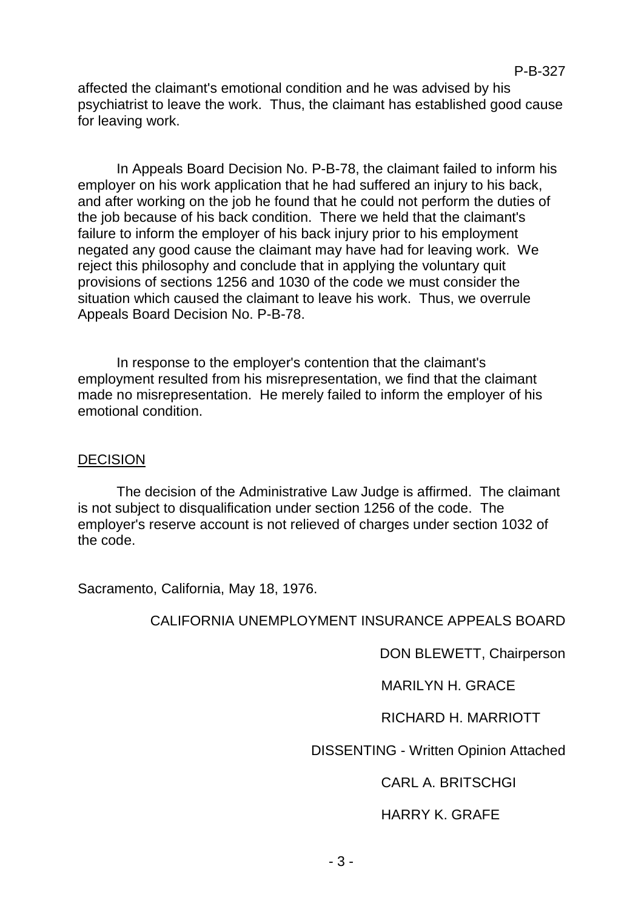affected the claimant's emotional condition and he was advised by his psychiatrist to leave the work. Thus, the claimant has established good cause for leaving work.

In Appeals Board Decision No. P-B-78, the claimant failed to inform his employer on his work application that he had suffered an injury to his back, and after working on the job he found that he could not perform the duties of the job because of his back condition. There we held that the claimant's failure to inform the employer of his back injury prior to his employment negated any good cause the claimant may have had for leaving work. We reject this philosophy and conclude that in applying the voluntary quit provisions of sections 1256 and 1030 of the code we must consider the situation which caused the claimant to leave his work. Thus, we overrule Appeals Board Decision No. P-B-78.

In response to the employer's contention that the claimant's employment resulted from his misrepresentation, we find that the claimant made no misrepresentation. He merely failed to inform the employer of his emotional condition.

## **DECISION**

The decision of the Administrative Law Judge is affirmed. The claimant is not subject to disqualification under section 1256 of the code. The employer's reserve account is not relieved of charges under section 1032 of the code.

Sacramento, California, May 18, 1976.

# CALIFORNIA UNEMPLOYMENT INSURANCE APPEALS BOARD

DON BLEWETT, Chairperson

MARILYN H. GRACE

# RICHARD H. MARRIOTT

DISSENTING - Written Opinion Attached

CARL A. BRITSCHGI

# HARRY K. GRAFE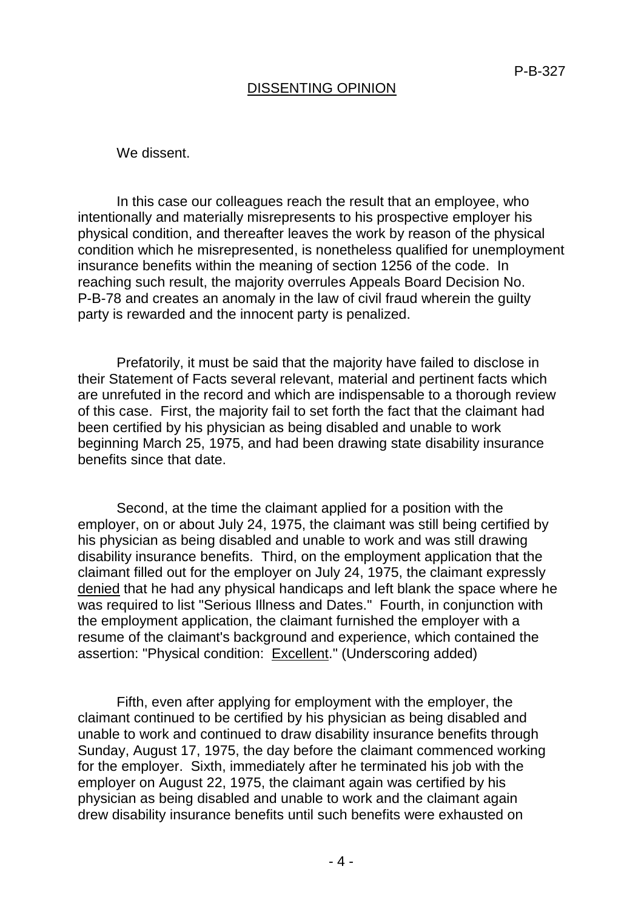## DISSENTING OPINION

We dissent.

In this case our colleagues reach the result that an employee, who intentionally and materially misrepresents to his prospective employer his physical condition, and thereafter leaves the work by reason of the physical condition which he misrepresented, is nonetheless qualified for unemployment insurance benefits within the meaning of section 1256 of the code. In reaching such result, the majority overrules Appeals Board Decision No. P-B-78 and creates an anomaly in the law of civil fraud wherein the guilty party is rewarded and the innocent party is penalized.

Prefatorily, it must be said that the majority have failed to disclose in their Statement of Facts several relevant, material and pertinent facts which are unrefuted in the record and which are indispensable to a thorough review of this case. First, the majority fail to set forth the fact that the claimant had been certified by his physician as being disabled and unable to work beginning March 25, 1975, and had been drawing state disability insurance benefits since that date.

Second, at the time the claimant applied for a position with the employer, on or about July 24, 1975, the claimant was still being certified by his physician as being disabled and unable to work and was still drawing disability insurance benefits. Third, on the employment application that the claimant filled out for the employer on July 24, 1975, the claimant expressly denied that he had any physical handicaps and left blank the space where he was required to list "Serious Illness and Dates." Fourth, in conjunction with the employment application, the claimant furnished the employer with a resume of the claimant's background and experience, which contained the assertion: "Physical condition: Excellent." (Underscoring added)

Fifth, even after applying for employment with the employer, the claimant continued to be certified by his physician as being disabled and unable to work and continued to draw disability insurance benefits through Sunday, August 17, 1975, the day before the claimant commenced working for the employer. Sixth, immediately after he terminated his job with the employer on August 22, 1975, the claimant again was certified by his physician as being disabled and unable to work and the claimant again drew disability insurance benefits until such benefits were exhausted on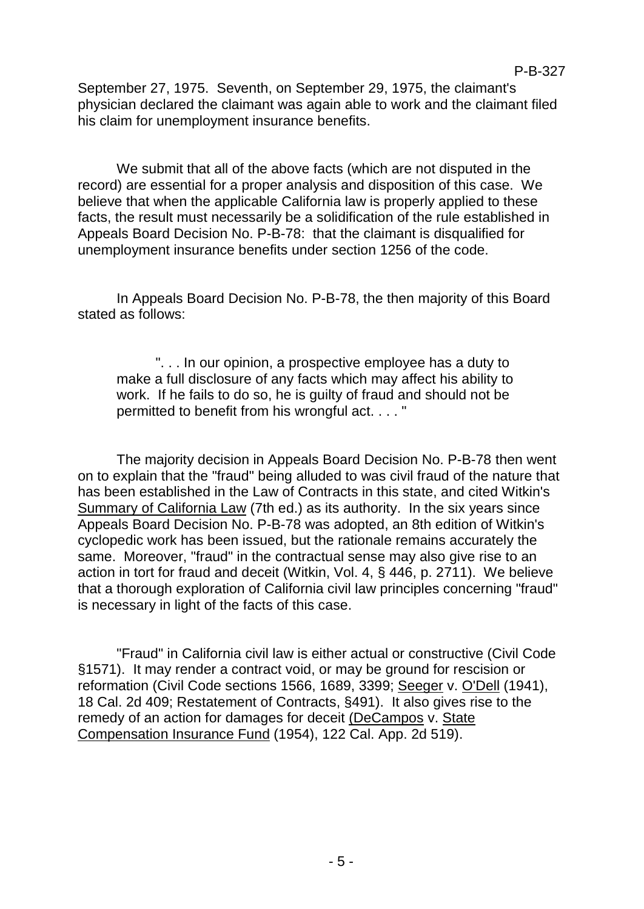September 27, 1975. Seventh, on September 29, 1975, the claimant's physician declared the claimant was again able to work and the claimant filed his claim for unemployment insurance benefits.

We submit that all of the above facts (which are not disputed in the record) are essential for a proper analysis and disposition of this case. We believe that when the applicable California law is properly applied to these facts, the result must necessarily be a solidification of the rule established in Appeals Board Decision No. P-B-78: that the claimant is disqualified for unemployment insurance benefits under section 1256 of the code.

In Appeals Board Decision No. P-B-78, the then majority of this Board stated as follows:

". . . In our opinion, a prospective employee has a duty to make a full disclosure of any facts which may affect his ability to work. If he fails to do so, he is guilty of fraud and should not be permitted to benefit from his wrongful act. . . . "

The majority decision in Appeals Board Decision No. P-B-78 then went on to explain that the "fraud" being alluded to was civil fraud of the nature that has been established in the Law of Contracts in this state, and cited Witkin's Summary of California Law (7th ed.) as its authority. In the six years since Appeals Board Decision No. P-B-78 was adopted, an 8th edition of Witkin's cyclopedic work has been issued, but the rationale remains accurately the same. Moreover, "fraud" in the contractual sense may also give rise to an action in tort for fraud and deceit (Witkin, Vol. 4, § 446, p. 2711). We believe that a thorough exploration of California civil law principles concerning "fraud" is necessary in light of the facts of this case.

"Fraud" in California civil law is either actual or constructive (Civil Code §1571). It may render a contract void, or may be ground for rescision or reformation (Civil Code sections 1566, 1689, 3399; Seeger v. O'Dell (1941), 18 Cal. 2d 409; Restatement of Contracts, §491). It also gives rise to the remedy of an action for damages for deceit (DeCampos v. State Compensation Insurance Fund (1954), 122 Cal. App. 2d 519).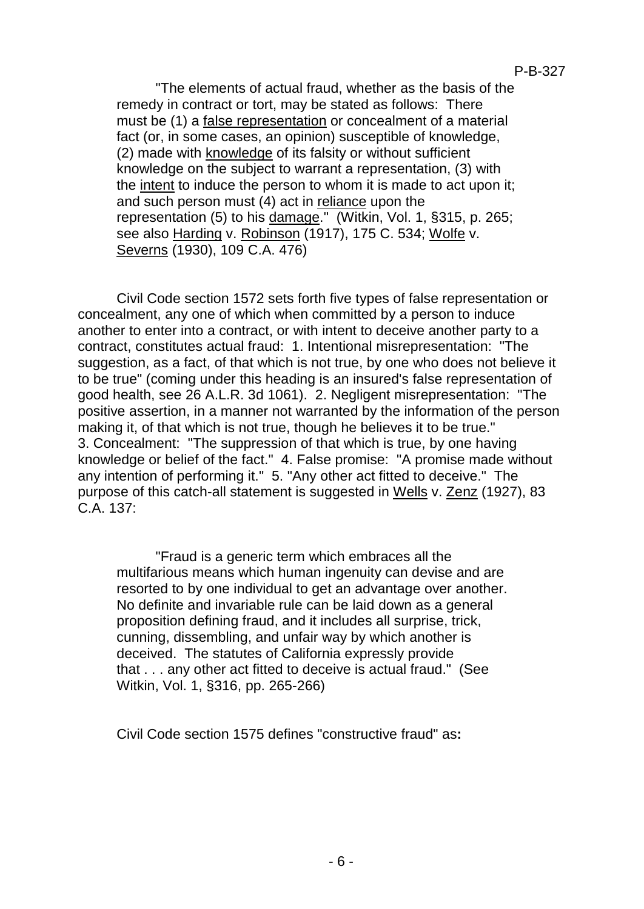"The elements of actual fraud, whether as the basis of the remedy in contract or tort, may be stated as follows: There must be (1) a false representation or concealment of a material fact (or, in some cases, an opinion) susceptible of knowledge, (2) made with knowledge of its falsity or without sufficient knowledge on the subject to warrant a representation, (3) with the intent to induce the person to whom it is made to act upon it; and such person must (4) act in reliance upon the representation (5) to his damage." (Witkin, Vol. 1, §315, p. 265; see also Harding v. Robinson (1917), 175 C. 534; Wolfe v. Severns (1930), 109 C.A. 476)

Civil Code section 1572 sets forth five types of false representation or concealment, any one of which when committed by a person to induce another to enter into a contract, or with intent to deceive another party to a contract, constitutes actual fraud: 1. Intentional misrepresentation: "The suggestion, as a fact, of that which is not true, by one who does not believe it to be true" (coming under this heading is an insured's false representation of good health, see 26 A.L.R. 3d 1061). 2. Negligent misrepresentation: "The positive assertion, in a manner not warranted by the information of the person making it, of that which is not true, though he believes it to be true." 3. Concealment: "The suppression of that which is true, by one having knowledge or belief of the fact." 4. False promise: "A promise made without any intention of performing it." 5. "Any other act fitted to deceive." The purpose of this catch-all statement is suggested in Wells v. Zenz (1927), 83 C.A. 137:

"Fraud is a generic term which embraces all the multifarious means which human ingenuity can devise and are resorted to by one individual to get an advantage over another. No definite and invariable rule can be laid down as a general proposition defining fraud, and it includes all surprise, trick, cunning, dissembling, and unfair way by which another is deceived. The statutes of California expressly provide that . . . any other act fitted to deceive is actual fraud." (See Witkin, Vol. 1, §316, pp. 265-266)

Civil Code section 1575 defines "constructive fraud" as**:**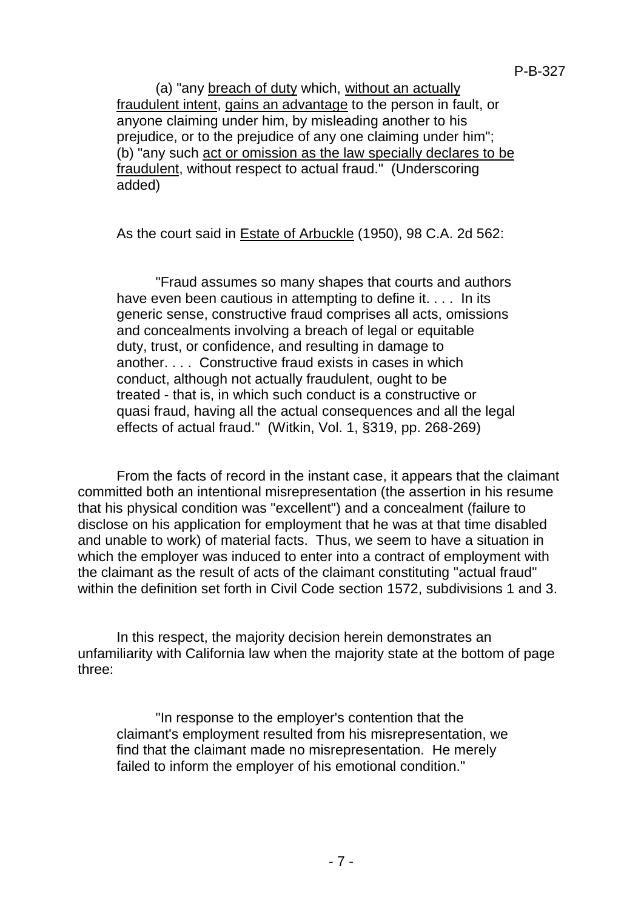(a) "any breach of duty which, without an actually fraudulent intent, gains an advantage to the person in fault, or anyone claiming under him, by misleading another to his prejudice, or to the prejudice of any one claiming under him"; (b) "any such act or omission as the law specially declares to be fraudulent, without respect to actual fraud." (Underscoring added)

As the court said in Estate of Arbuckle (1950), 98 C.A. 2d 562:

"Fraud assumes so many shapes that courts and authors have even been cautious in attempting to define it. . . . In its generic sense, constructive fraud comprises all acts, omissions and concealments involving a breach of legal or equitable duty, trust, or confidence, and resulting in damage to another. . . . Constructive fraud exists in cases in which conduct, although not actually fraudulent, ought to be treated - that is, in which such conduct is a constructive or quasi fraud, having all the actual consequences and all the legal effects of actual fraud." (Witkin, Vol. 1, §319, pp. 268-269)

From the facts of record in the instant case, it appears that the claimant committed both an intentional misrepresentation (the assertion in his resume that his physical condition was "excellent") and a concealment (failure to disclose on his application for employment that he was at that time disabled and unable to work) of material facts. Thus, we seem to have a situation in which the employer was induced to enter into a contract of employment with the claimant as the result of acts of the claimant constituting "actual fraud" within the definition set forth in Civil Code section 1572, subdivisions 1 and 3.

In this respect, the majority decision herein demonstrates an unfamiliarity with California law when the majority state at the bottom of page three:

"In response to the employer's contention that the claimant's employment resulted from his misrepresentation, we find that the claimant made no misrepresentation. He merely failed to inform the employer of his emotional condition."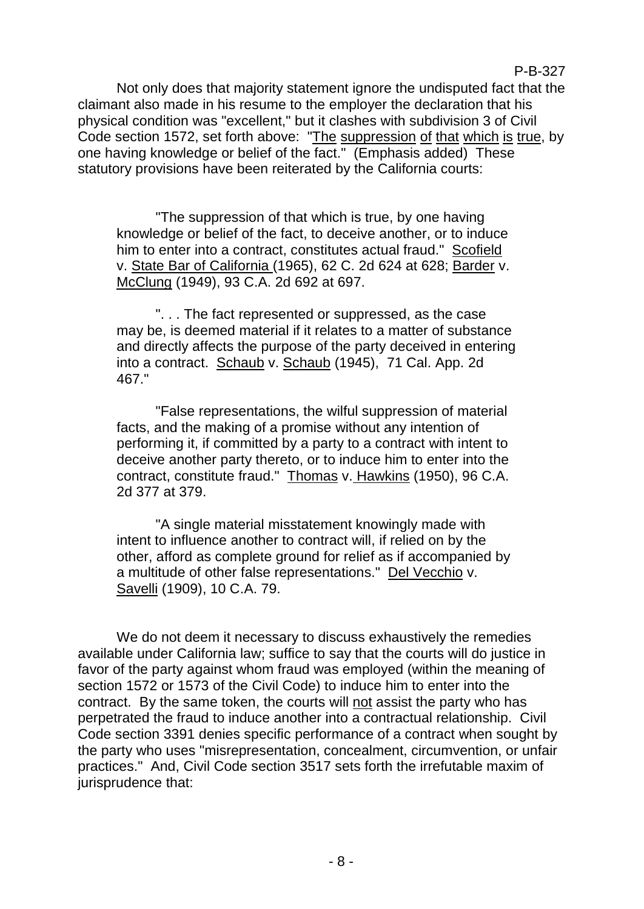Not only does that majority statement ignore the undisputed fact that the claimant also made in his resume to the employer the declaration that his physical condition was "excellent," but it clashes with subdivision 3 of Civil Code section 1572, set forth above: "The suppression of that which is true, by one having knowledge or belief of the fact." (Emphasis added) These statutory provisions have been reiterated by the California courts:

P-B-327

"The suppression of that which is true, by one having knowledge or belief of the fact, to deceive another, or to induce him to enter into a contract, constitutes actual fraud." Scofield v. State Bar of California (1965), 62 C. 2d 624 at 628; Barder v. McClung (1949), 93 C.A. 2d 692 at 697.

". . . The fact represented or suppressed, as the case may be, is deemed material if it relates to a matter of substance and directly affects the purpose of the party deceived in entering into a contract. Schaub v. Schaub (1945), 71 Cal. App. 2d 467."

"False representations, the wilful suppression of material facts, and the making of a promise without any intention of performing it, if committed by a party to a contract with intent to deceive another party thereto, or to induce him to enter into the contract, constitute fraud." Thomas v. Hawkins (1950), 96 C.A. 2d 377 at 379.

"A single material misstatement knowingly made with intent to influence another to contract will, if relied on by the other, afford as complete ground for relief as if accompanied by a multitude of other false representations." Del Vecchio v. Savelli (1909), 10 C.A. 79.

We do not deem it necessary to discuss exhaustively the remedies available under California law; suffice to say that the courts will do justice in favor of the party against whom fraud was employed (within the meaning of section 1572 or 1573 of the Civil Code) to induce him to enter into the contract. By the same token, the courts will not assist the party who has perpetrated the fraud to induce another into a contractual relationship. Civil Code section 3391 denies specific performance of a contract when sought by the party who uses "misrepresentation, concealment, circumvention, or unfair practices." And, Civil Code section 3517 sets forth the irrefutable maxim of jurisprudence that: